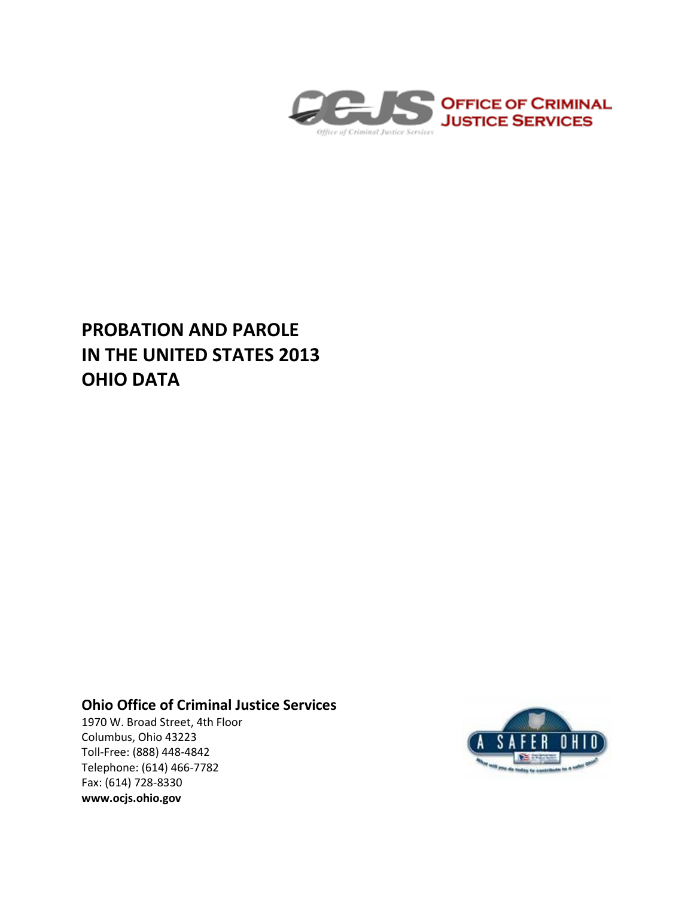

# **PROBATION AND PAROLE IN THE UNITED STATES 2013 OHIO DATA**

# **Ohio Office of Criminal Justice Services**

1970 W. Broad Street, 4th Floor Columbus, Ohio 43223 Toll-Free: (888) 448-4842 Telephone: (614) 466-7782 Fax: (614) 728-8330 **www.ocjs.ohio.gov**

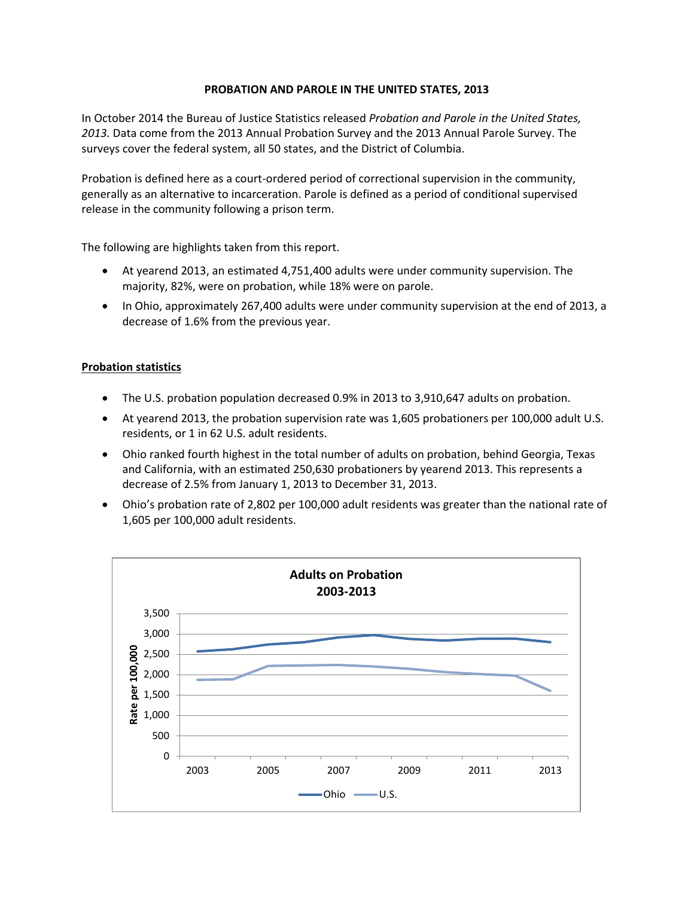## **PROBATION AND PAROLE IN THE UNITED STATES, 2013**

In October 2014 the Bureau of Justice Statistics released *Probation and Parole in the United States, 2013.* Data come from the 2013 Annual Probation Survey and the 2013 Annual Parole Survey. The surveys cover the federal system, all 50 states, and the District of Columbia.

Probation is defined here as a court-ordered period of correctional supervision in the community, generally as an alternative to incarceration. Parole is defined as a period of conditional supervised release in the community following a prison term.

The following are highlights taken from this report.

- At yearend 2013, an estimated 4,751,400 adults were under community supervision. The majority, 82%, were on probation, while 18% were on parole.
- In Ohio, approximately 267,400 adults were under community supervision at the end of 2013, a decrease of 1.6% from the previous year.

### **Probation statistics**

- The U.S. probation population decreased 0.9% in 2013 to 3,910,647 adults on probation.
- At yearend 2013, the probation supervision rate was 1,605 probationers per 100,000 adult U.S. residents, or 1 in 62 U.S. adult residents.
- Ohio ranked fourth highest in the total number of adults on probation, behind Georgia, Texas and California, with an estimated 250,630 probationers by yearend 2013. This represents a decrease of 2.5% from January 1, 2013 to December 31, 2013.
- Ohio's probation rate of 2,802 per 100,000 adult residents was greater than the national rate of 1,605 per 100,000 adult residents.

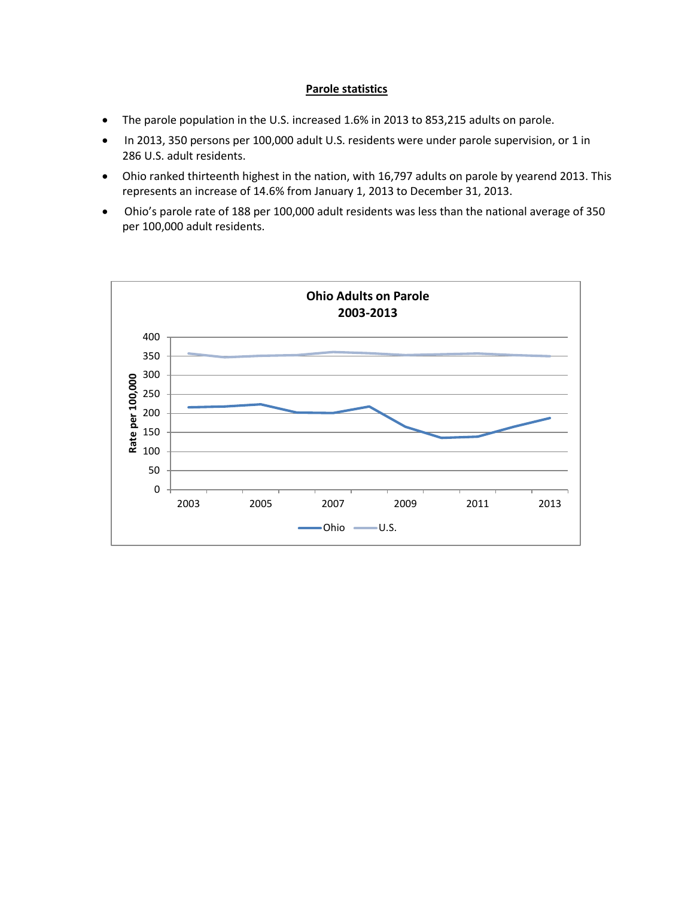### **Parole statistics**

- The parole population in the U.S. increased 1.6% in 2013 to 853,215 adults on parole.
- In 2013, 350 persons per 100,000 adult U.S. residents were under parole supervision, or 1 in 286 U.S. adult residents.
- Ohio ranked thirteenth highest in the nation, with 16,797 adults on parole by yearend 2013. This represents an increase of 14.6% from January 1, 2013 to December 31, 2013.
- Ohio's parole rate of 188 per 100,000 adult residents was less than the national average of 350 per 100,000 adult residents.